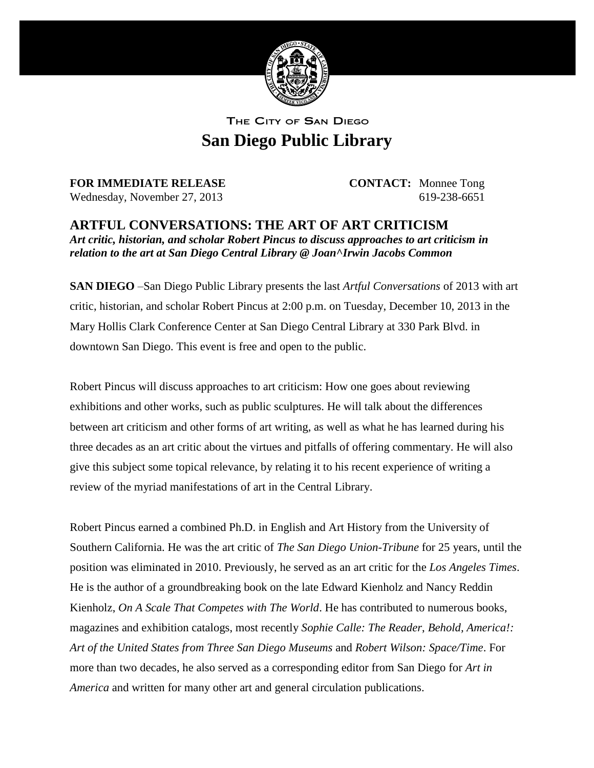

THE CITY OF SAN DIEGO **San Diego Public Library**

**FOR IMMEDIATE RELEASE CONTACT:** Monnee Tong Wednesday, November 27, 2013 619-238-6651

**ARTFUL CONVERSATIONS: THE ART OF ART CRITICISM** *Art critic, historian, and scholar Robert Pincus to discuss approaches to art criticism in relation to the art at San Diego Central Library @ Joan^Irwin Jacobs Common*

**SAN DIEGO** –San Diego Public Library presents the last *Artful Conversations* of 2013 with art critic, historian, and scholar Robert Pincus at 2:00 p.m. on Tuesday, December 10, 2013 in the Mary Hollis Clark Conference Center at San Diego Central Library at 330 Park Blvd. in downtown San Diego. This event is free and open to the public.

Robert Pincus will discuss approaches to art criticism: How one goes about reviewing exhibitions and other works, such as public sculptures. He will talk about the differences between art criticism and other forms of art writing, as well as what he has learned during his three decades as an art critic about the virtues and pitfalls of offering commentary. He will also give this subject some topical relevance, by relating it to his recent experience of writing a review of the myriad manifestations of art in the Central Library.

Robert Pincus earned a combined Ph.D. in English and Art History from the University of Southern California. He was the art critic of *The San Diego Union-Tribune* for 25 years, until the position was eliminated in 2010. Previously, he served as an art critic for the *Los Angeles Times*. He is the author of a groundbreaking book on the late Edward Kienholz and Nancy Reddin Kienholz, *On A Scale That Competes with The World*. He has contributed to numerous books, magazines and exhibition catalogs, most recently *Sophie Calle: The Reader*, *Behold, America!: Art of the United States from Three San Diego Museums* and *Robert Wilson: Space/Time*. For more than two decades, he also served as a corresponding editor from San Diego for *Art in America* and written for many other art and general circulation publications.